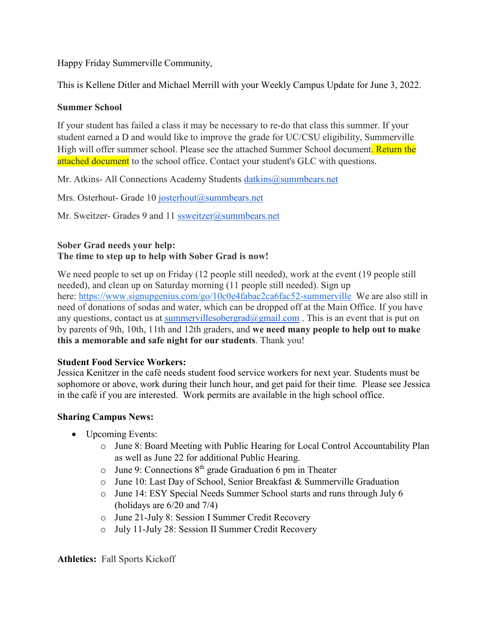Happy Friday Summerville Community,

This is Kellene Ditler and Michael Merrill with your Weekly Campus Update for June 3, 2022.

# **Summer School**

If your student has failed a class it may be necessary to re-do that class this summer. If your student earned a D and would like to improve the grade for UC/CSU eligibility, Summerville High will offer summer school. Please see the attached Summer School document. Return the attached document to the school office. Contact your student's GLC with questions.

Mr. Atkins- All Connections Academy Students [datkins@summbears.net](mailto:datkins@summbears.net)

Mrs. Osterhout- Grade 10 [josterhout@summbears.net](mailto:josterhout@summbears.net)

Mr. Sweitzer- Grades 9 and 11 [ssweitzer@summbears.net](mailto:ssweitzer@summbears.net)

## **Sober Grad needs your help: The time to step up to help with Sober Grad is now!**

We need people to set up on Friday (12 people still needed), work at the event (19 people still needed), and clean up on Saturday morning (11 people still needed). Sign up here: [https://www.signupgenius.com/go/10c0e4fabac2ca6fac52-summerville](http://track.spe.schoolmessenger.com/f/a/V3YnziqTImElhO4stXfDWw%7E%7E/AAAAAQA%7E/RgRkcngSP0TraHR0cDovL3RyYWNrLnNwZS5zY2hvb2xtZXNzZW5nZXIuY29tL2YvYS9ZX1J3S3V3algwd2VFTW40dmRzZWVRfn4vQUFBQUFRQX4vUmdSa2FVbjZQMFJBYUhSMGNITTZMeTkzZDNjdWMybG5iblZ3WjJWdWFYVnpMbU52YlM5bmJ5OHhNR013WlRSbVlXSmhZekpqWVRabVlXTTFNaTF6ZFcxdFpYSjJhV3hzWlZjSGMyTm9iMjlzYlVJS1lvWjZGb2hpWkdUTkJsSVNZMlJ6WlhacFpYSkFlV0ZvYjI4dVkyOXRXQVFBQUFBQlcHc2Nob29sbUIKYo2SRJFiTXF11lISY2RzZXZpZXJAeWFob28uY29tWAQAAAAB) We are also still in need of donations of sodas and water, which can be dropped off at the Main Office. If you have any questions, contact us at summervillesobergrad $(Qgmail.com)$ . This is an event that is put on by parents of 9th, 10th, 11th and 12th graders, and **we need many people to help out to make this a memorable and safe night for our students**. Thank you!

# **Student Food Service Workers:**

Jessica Kenitzer in the café needs student food service workers for next year. Students must be sophomore or above, work during their lunch hour, and get paid for their time. Please see Jessica in the café if you are interested. Work permits are available in the high school office.

# **Sharing Campus News:**

- Upcoming Events:
	- o June 8: Board Meeting with Public Hearing for Local Control Accountability Plan as well as June 22 for additional Public Hearing.
	- $\circ$  June 9: Connections 8<sup>th</sup> grade Graduation 6 pm in Theater
	- o June 10: Last Day of School, Senior Breakfast & Summerville Graduation
	- o June 14: ESY Special Needs Summer School starts and runs through July 6 (holidays are 6/20 and 7/4)
	- o June 21-July 8: Session I Summer Credit Recovery
	- o July 11-July 28: Session II Summer Credit Recovery

**Athletics:** Fall Sports Kickoff